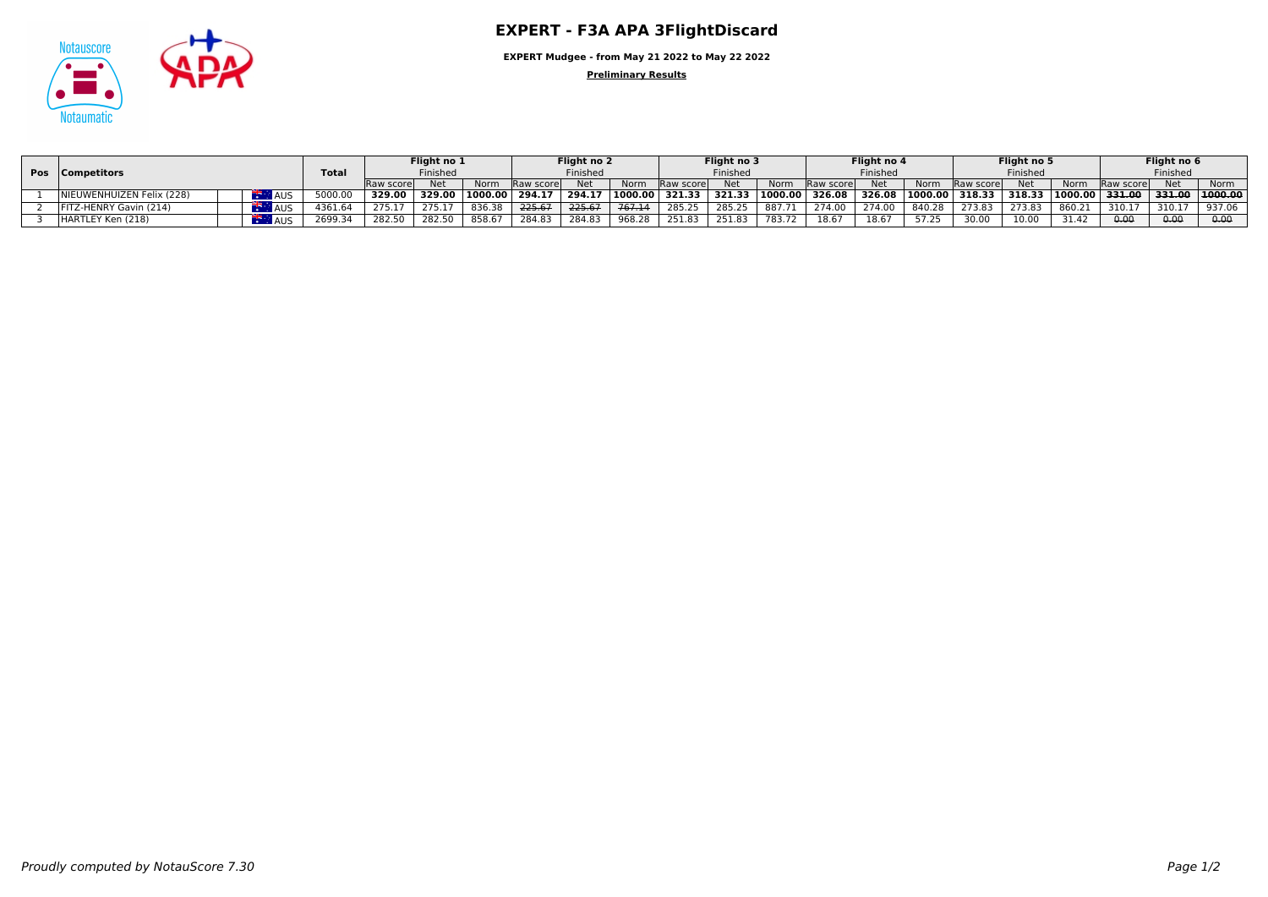

**EXPERT Mudgee - from May 21 2022 to May 22 2022**

**Preliminary Results**

| Pos Competitors               |            | Tota      | Flight no 1<br>Finished |        | Fliaht no 2<br>Finished |            | Flight no 3<br>Finished |           |                  | Flight no 4<br>Finished |                    | Flight no 5<br>Finished            |        | Flight no 6<br>Finished |                |        |           |                |        |         |
|-------------------------------|------------|-----------|-------------------------|--------|-------------------------|------------|-------------------------|-----------|------------------|-------------------------|--------------------|------------------------------------|--------|-------------------------|----------------|--------|-----------|----------------|--------|---------|
|                               |            | Raw score | Net                     | Norm   | <b>Raw scorel</b>       | <b>Net</b> | Norm                    | Raw score | Net              | Norm                    | <b>IRaw scorel</b> | Net                                | Norm   | <b>Raw scorel</b>       | <b>Net</b>     | Norm   | Raw score | <b>Net</b>     | Norm   |         |
| NIEUWENHUIZEN Felix (228)     | AUS.       | 5000.0    | 329.00                  | 329.00 | 1000.00                 | 294.17     | 294.17                  |           | 1000.00   321.33 |                         |                    | 321.33   1000.00   326.08   326.08 |        |                         | 1000.00 318.33 | 318.33 |           | 1000.00 331.00 | 331.00 | 1000.00 |
| <b>FITZ-HENRY Gavin (214)</b> | <b>AUS</b> | 4361.64   | 275.17                  | 275.17 | 836.38                  | 225.67     | 225.67                  | 767.14    | 285.25           | 285.25                  | 887.71             | 274.00                             | 274.00 | 840.28                  | 273.83         | 273.83 | 860.21    | 310.17         | 310.17 | 937.06  |
| HARTLEY Ken (218)             | AUS.       | 2699.34   | 282.50                  | 282.50 | 858.67                  | 284.83     | 284.83                  | 968.28    | 251.83           | 251.83                  | 783.72             | 18.67                              | 18.67  | 5725                    | 30.00          | 10.00  | 31.42     | 0.00           | 0.00   | 0.00    |